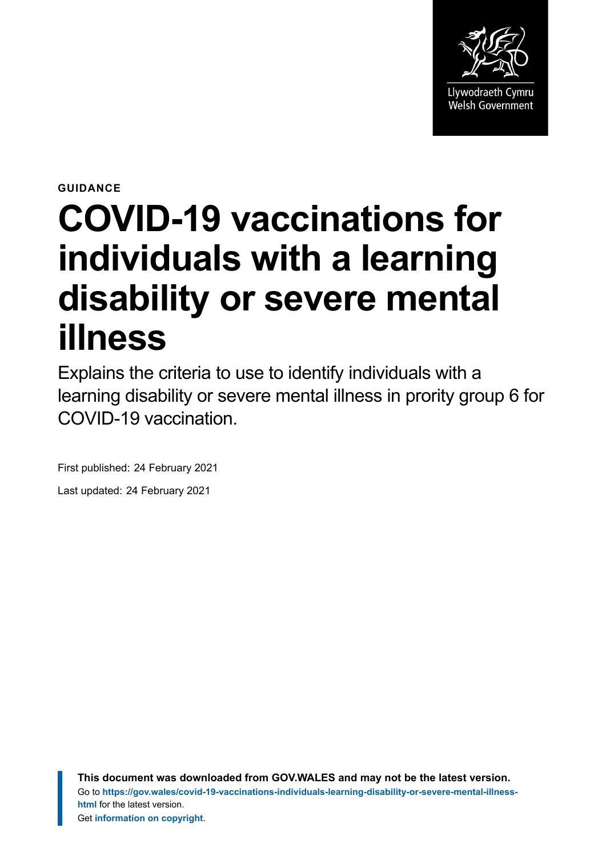

**GUIDANCE**

# **COVID-19 vaccinations for individuals with a learning disability or severe mental illness**

Explains the criteria to use to identify individuals with a learning disability or severe mental illness in prority group 6 for COVID-19 vaccination.

First published: 24 February 2021

Last updated: 24 February 2021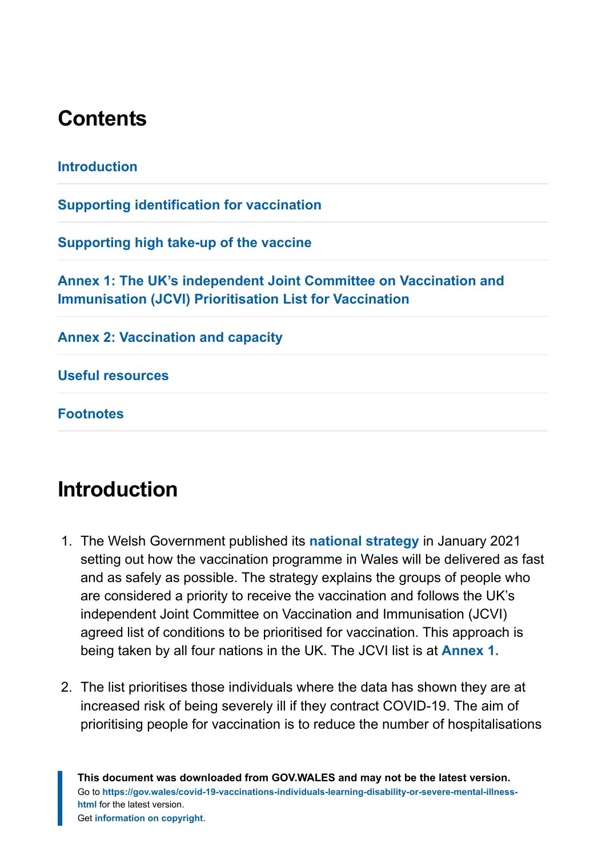# **Contents**

| <b>Introduction</b>                                                                                                                |  |
|------------------------------------------------------------------------------------------------------------------------------------|--|
| <b>Supporting identification for vaccination</b>                                                                                   |  |
| Supporting high take-up of the vaccine                                                                                             |  |
| Annex 1: The UK's independent Joint Committee on Vaccination and<br><b>Immunisation (JCVI) Prioritisation List for Vaccination</b> |  |
| <b>Annex 2: Vaccination and capacity</b>                                                                                           |  |
| <b>Useful resources</b>                                                                                                            |  |

**[Footnotes](#page-10-1)**

# <span id="page-1-0"></span>**Introduction**

- 1. The Welsh Government published its **[national strategy](https://gov.wales/covid-19-vaccination-strategy)** in January 2021 setting out how the vaccination programme in Wales will be delivered as fast and as safely as possible. The strategy explains the groups of people who are considered a priority to receive the vaccination and follows the UK's independent Joint Committee on Vaccination and Immunisation (JCVI) agreed list of conditions to be prioritised for vaccination. This approach is being taken by all four nations in the UK. The JCVI list is at **[Annex 1.](https://gov.wales/node/37259#section-63507)**
- 2. The list prioritises those individuals where the data has shown they are at increased risk of being severely ill if they contract COVID-19. The aim of prioritising people for vaccination is to reduce the number of hospitalisations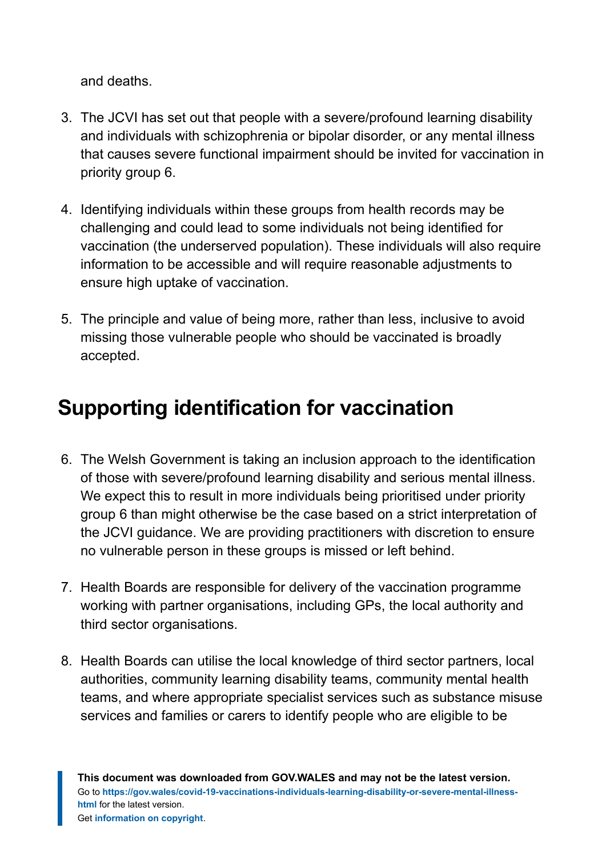and deaths.

- 3. The JCVI has set out that people with a severe/profound learning disability and individuals with schizophrenia or bipolar disorder, or any mental illness that causes severe functional impairment should be invited for vaccination in priority group 6.
- 4. Identifying individuals within these groups from health records may be challenging and could lead to some individuals not being identified for vaccination (the underserved population). These individuals will also require information to be accessible and will require reasonable adjustments to ensure high uptake of vaccination.
- 5. The principle and value of being more, rather than less, inclusive to avoid missing those vulnerable people who should be vaccinated is broadly accepted.

# <span id="page-2-0"></span>**Supporting identification for vaccination**

- 6. The Welsh Government is taking an inclusion approach to the identification of those with severe/profound learning disability and serious mental illness. We expect this to result in more individuals being prioritised under priority group 6 than might otherwise be the case based on a strict interpretation of the JCVI guidance. We are providing practitioners with discretion to ensure no vulnerable person in these groups is missed or left behind.
- 7. Health Boards are responsible for delivery of the vaccination programme working with partner organisations, including GPs, the local authority and third sector organisations.
- 8. Health Boards can utilise the local knowledge of third sector partners, local authorities, community learning disability teams, community mental health teams, and where appropriate specialist services such as substance misuse services and families or carers to identify people who are eligible to be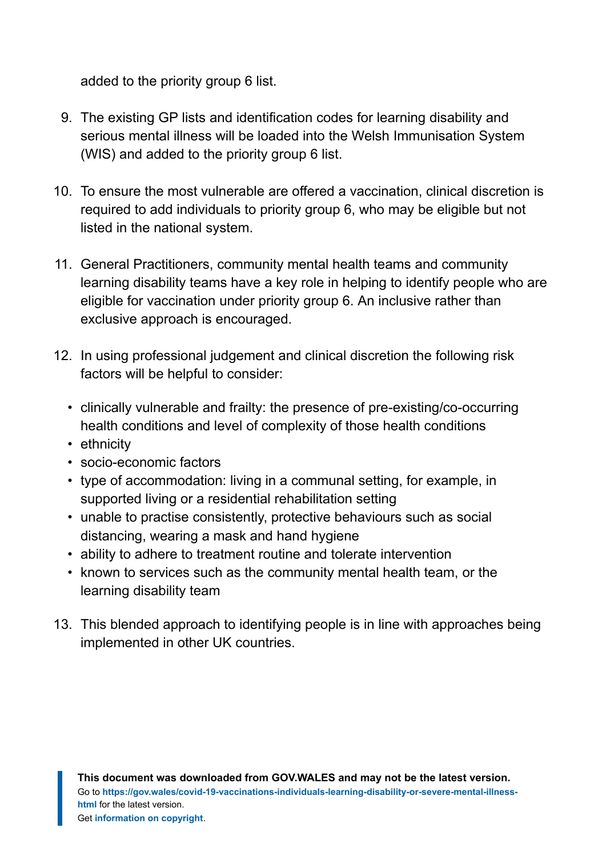added to the priority group 6 list.

- 9. The existing GP lists and identification codes for learning disability and serious mental illness will be loaded into the Welsh Immunisation System (WIS) and added to the priority group 6 list.
- 10. To ensure the most vulnerable are offered a vaccination, clinical discretion is required to add individuals to priority group 6, who may be eligible but not listed in the national system.
- 11. General Practitioners, community mental health teams and community learning disability teams have a key role in helping to identify people who are eligible for vaccination under priority group 6. An inclusive rather than exclusive approach is encouraged.
- 12. In using professional judgement and clinical discretion the following risk factors will be helpful to consider:
	- clinically vulnerable and frailty: the presence of pre-existing/co-occurring health conditions and level of complexity of those health conditions
	- ethnicity
	- socio-economic factors
	- type of accommodation: living in a communal setting, for example, in supported living or a residential rehabilitation setting
	- unable to practise consistently, protective behaviours such as social distancing, wearing a mask and hand hygiene
	- ability to adhere to treatment routine and tolerate intervention
	- known to services such as the community mental health team, or the learning disability team
- 13. This blended approach to identifying people is in line with approaches being implemented in other UK countries.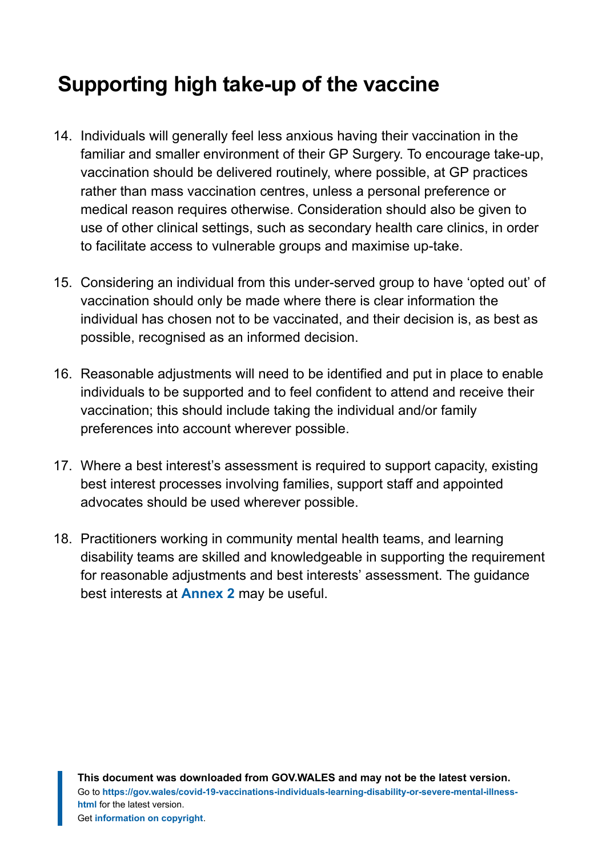# <span id="page-4-0"></span>**Supporting high take-up of the vaccine**

- 14. Individuals will generally feel less anxious having their vaccination in the familiar and smaller environment of their GP Surgery. To encourage take-up, vaccination should be delivered routinely, where possible, at GP practices rather than mass vaccination centres, unless a personal preference or medical reason requires otherwise. Consideration should also be given to use of other clinical settings, such as secondary health care clinics, in order to facilitate access to vulnerable groups and maximise up-take.
- 15. Considering an individual from this under-served group to have 'opted out' of vaccination should only be made where there is clear information the individual has chosen not to be vaccinated, and their decision is, as best as possible, recognised as an informed decision.
- 16. Reasonable adjustments will need to be identified and put in place to enable individuals to be supported and to feel confident to attend and receive their vaccination; this should include taking the individual and/or family preferences into account wherever possible.
- 17. Where a best interest's assessment is required to support capacity, existing best interest processes involving families, support staff and appointed advocates should be used wherever possible.
- 18. Practitioners working in community mental health teams, and learning disability teams are skilled and knowledgeable in supporting the requirement for reasonable adjustments and best interests' assessment. The guidance best interests at **[Annex 2](https://gov.wales/node/37259#section-63509)** may be useful.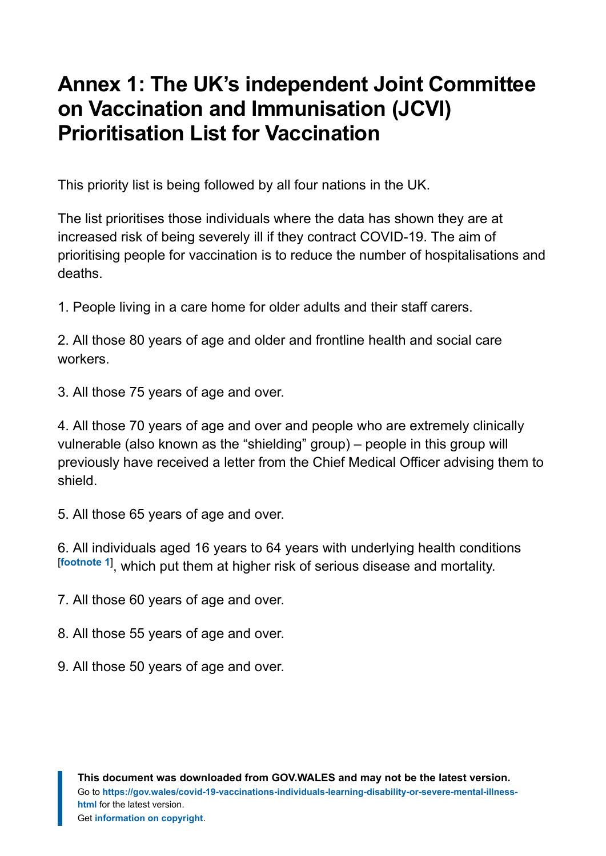# <span id="page-5-0"></span>**Annex 1: The UK's independent Joint Committee on Vaccination and Immunisation (JCVI) Prioritisation List for Vaccination**

This priority list is being followed by all four nations in the UK.

The list prioritises those individuals where the data has shown they are at increased risk of being severely ill if they contract COVID-19. The aim of prioritising people for vaccination is to reduce the number of hospitalisations and deaths.

1. People living in a care home for older adults and their staff carers.

2. All those 80 years of age and older and frontline health and social care workers.

3. All those 75 years of age and over.

4. All those 70 years of age and over and people who are extremely clinically vulnerable (also known as the "shielding" group) – people in this group will previously have received a letter from the Chief Medical Officer advising them to shield.

5. All those 65 years of age and over.

<span id="page-5-1"></span>6. All individuals aged 16 years to 64 years with underlying health conditions [**[footnote 1](https://gov.wales/node/37259#section-63515)**] , which put them at higher risk of serious disease and mortality.

7. All those 60 years of age and over.

8. All those 55 years of age and over.

9. All those 50 years of age and over.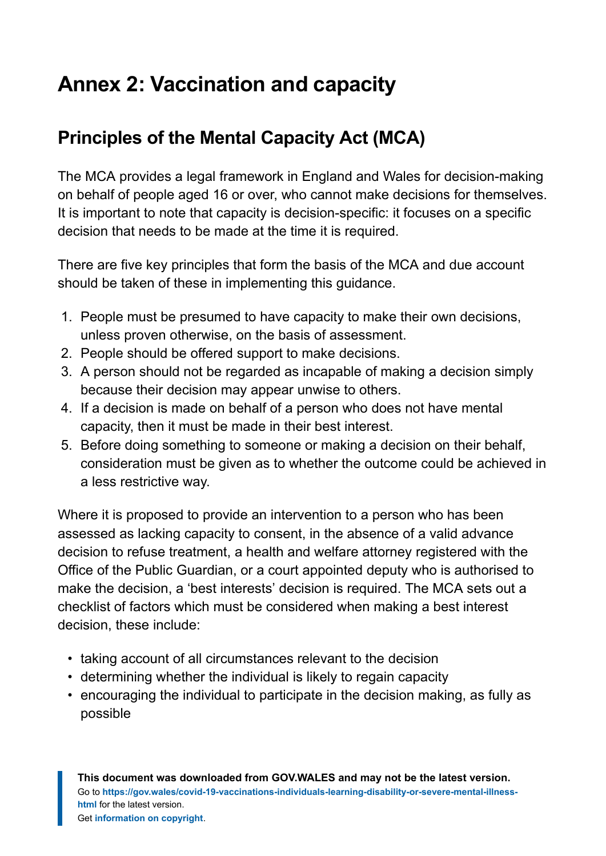# <span id="page-6-0"></span>**Annex 2: Vaccination and capacity**

#### **Principles of the Mental Capacity Act (MCA)**

The MCA provides a legal framework in England and Wales for decision-making on behalf of people aged 16 or over, who cannot make decisions for themselves. It is important to note that capacity is decision-specific: it focuses on a specific decision that needs to be made at the time it is required.

There are five key principles that form the basis of the MCA and due account should be taken of these in implementing this guidance.

- 1. People must be presumed to have capacity to make their own decisions, unless proven otherwise, on the basis of assessment.
- 2. People should be offered support to make decisions.
- 3. A person should not be regarded as incapable of making a decision simply because their decision may appear unwise to others.
- 4. If a decision is made on behalf of a person who does not have mental capacity, then it must be made in their best interest.
- 5. Before doing something to someone or making a decision on their behalf, consideration must be given as to whether the outcome could be achieved in a less restrictive way.

Where it is proposed to provide an intervention to a person who has been assessed as lacking capacity to consent, in the absence of a valid advance decision to refuse treatment, a health and welfare attorney registered with the Office of the Public Guardian, or a court appointed deputy who is authorised to make the decision, a 'best interests' decision is required. The MCA sets out a checklist of factors which must be considered when making a best interest decision, these include:

- taking account of all circumstances relevant to the decision
- determining whether the individual is likely to regain capacity
- encouraging the individual to participate in the decision making, as fully as possible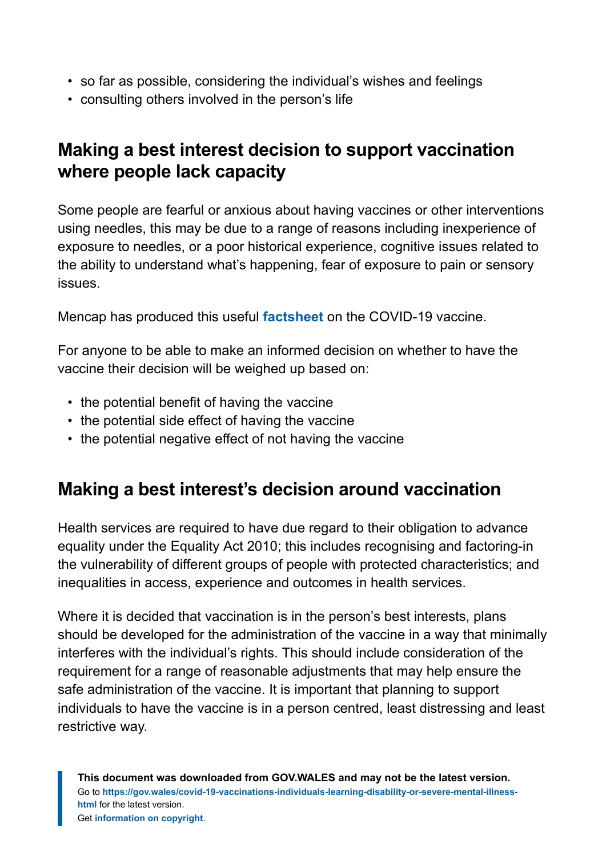- so far as possible, considering the individual's wishes and feelings
- consulting others involved in the person's life

#### **Making a best interest decision to support vaccination where people lack capacity**

Some people are fearful or anxious about having vaccines or other interventions using needles, this may be due to a range of reasons including inexperience of exposure to needles, or a poor historical experience, cognitive issues related to the ability to understand what's happening, fear of exposure to pain or sensory issues.

Mencap has produced this useful **[factsheet](https://www.mencap.org.uk/coronavirus/coronavirus-covid-19-vaccine)** on the COVID-19 vaccine.

For anyone to be able to make an informed decision on whether to have the vaccine their decision will be weighed up based on:

- the potential benefit of having the vaccine
- the potential side effect of having the vaccine
- the potential negative effect of not having the vaccine

#### **Making a best interest's decision around vaccination**

Health services are required to have due regard to their obligation to advance equality under the Equality Act 2010; this includes recognising and factoring-in the vulnerability of different groups of people with protected characteristics; and inequalities in access, experience and outcomes in health services.

Where it is decided that vaccination is in the person's best interests, plans should be developed for the administration of the vaccine in a way that minimally interferes with the individual's rights. This should include consideration of the requirement for a range of reasonable adjustments that may help ensure the safe administration of the vaccine. It is important that planning to support individuals to have the vaccine is in a person centred, least distressing and least restrictive way.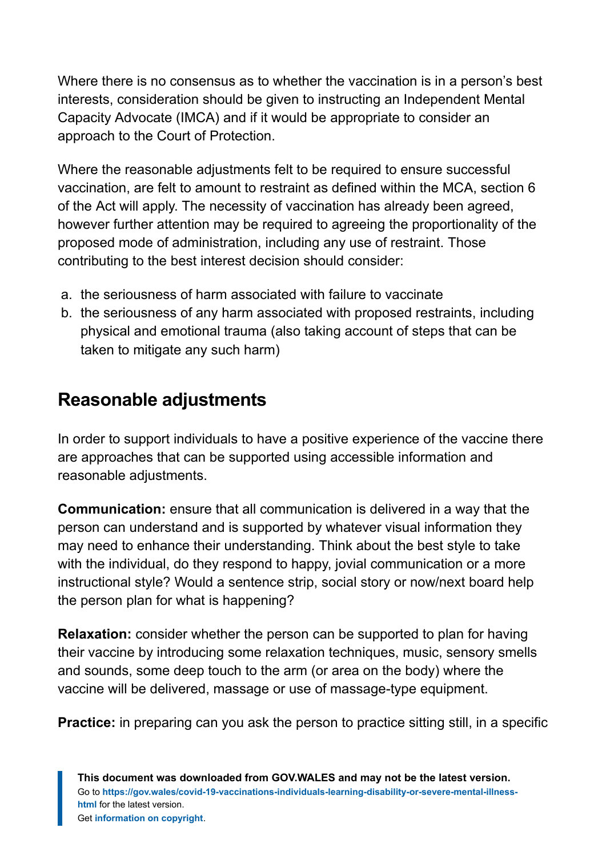Where there is no consensus as to whether the vaccination is in a person's best interests, consideration should be given to instructing an Independent Mental Capacity Advocate (IMCA) and if it would be appropriate to consider an approach to the Court of Protection.

Where the reasonable adjustments felt to be required to ensure successful vaccination, are felt to amount to restraint as defined within the MCA, section 6 of the Act will apply. The necessity of vaccination has already been agreed, however further attention may be required to agreeing the proportionality of the proposed mode of administration, including any use of restraint. Those contributing to the best interest decision should consider:

- a. the seriousness of harm associated with failure to vaccinate
- b. the seriousness of any harm associated with proposed restraints, including physical and emotional trauma (also taking account of steps that can be taken to mitigate any such harm)

#### **Reasonable adjustments**

In order to support individuals to have a positive experience of the vaccine there are approaches that can be supported using accessible information and reasonable adjustments.

**Communication:** ensure that all communication is delivered in a way that the person can understand and is supported by whatever visual information they may need to enhance their understanding. Think about the best style to take with the individual, do they respond to happy, jovial communication or a more instructional style? Would a sentence strip, social story or now/next board help the person plan for what is happening?

**Relaxation:** consider whether the person can be supported to plan for having their vaccine by introducing some relaxation techniques, music, sensory smells and sounds, some deep touch to the arm (or area on the body) where the vaccine will be delivered, massage or use of massage-type equipment.

**Practice:** in preparing can you ask the person to practice sitting still, in a specific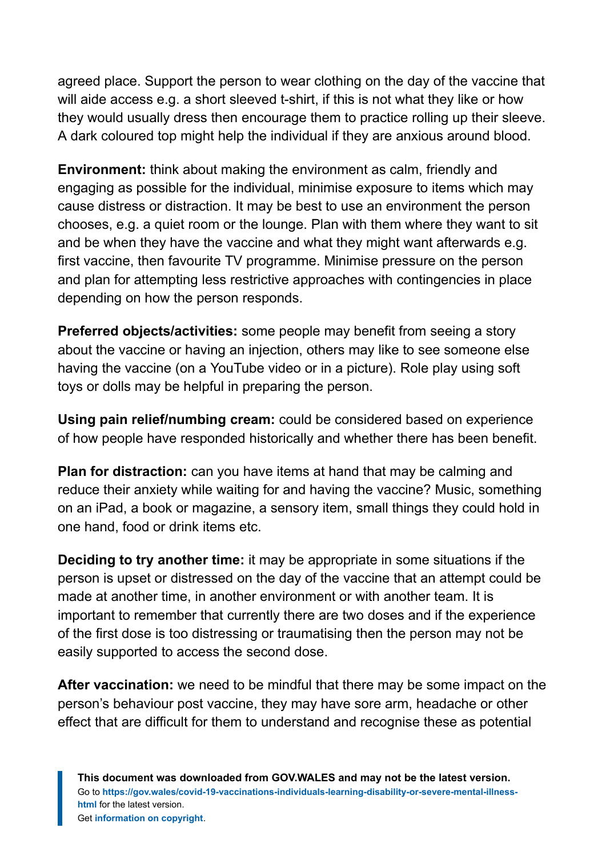agreed place. Support the person to wear clothing on the day of the vaccine that will aide access e.g. a short sleeved t-shirt, if this is not what they like or how they would usually dress then encourage them to practice rolling up their sleeve. A dark coloured top might help the individual if they are anxious around blood.

**Environment:** think about making the environment as calm, friendly and engaging as possible for the individual, minimise exposure to items which may cause distress or distraction. It may be best to use an environment the person chooses, e.g. a quiet room or the lounge. Plan with them where they want to sit and be when they have the vaccine and what they might want afterwards e.g. first vaccine, then favourite TV programme. Minimise pressure on the person and plan for attempting less restrictive approaches with contingencies in place depending on how the person responds.

**Preferred objects/activities:** some people may benefit from seeing a story about the vaccine or having an injection, others may like to see someone else having the vaccine (on a YouTube video or in a picture). Role play using soft toys or dolls may be helpful in preparing the person.

**Using pain relief/numbing cream:** could be considered based on experience of how people have responded historically and whether there has been benefit.

**Plan for distraction:** can you have items at hand that may be calming and reduce their anxiety while waiting for and having the vaccine? Music, something on an iPad, a book or magazine, a sensory item, small things they could hold in one hand, food or drink items etc.

**Deciding to try another time:** it may be appropriate in some situations if the person is upset or distressed on the day of the vaccine that an attempt could be made at another time, in another environment or with another team. It is important to remember that currently there are two doses and if the experience of the first dose is too distressing or traumatising then the person may not be easily supported to access the second dose.

**After vaccination:** we need to be mindful that there may be some impact on the person's behaviour post vaccine, they may have sore arm, headache or other effect that are difficult for them to understand and recognise these as potential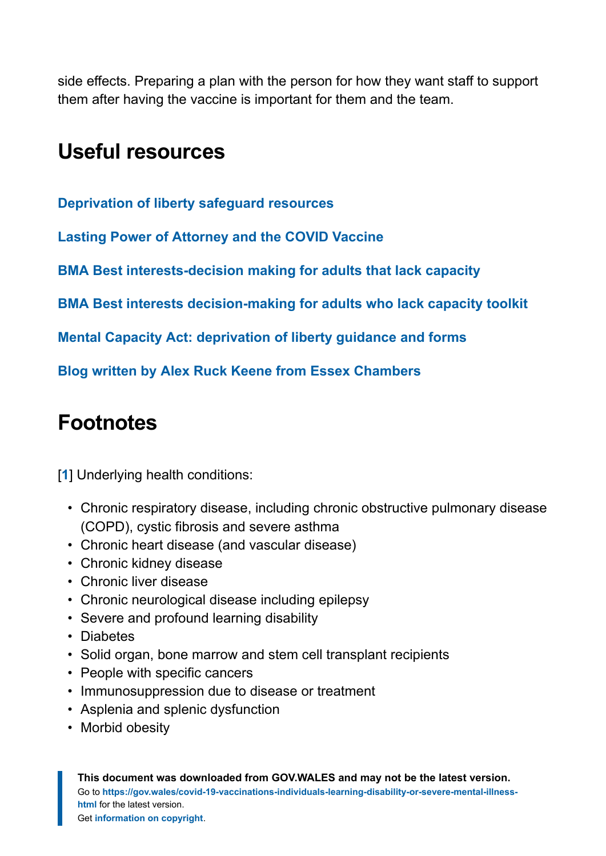side effects. Preparing a plan with the person for how they want staff to support them after having the vaccine is important for them and the team.

## <span id="page-10-0"></span>**Useful resources**

**[Deprivation of liberty safeguard resources](https://www.gov.uk/government/publications/deprivation-of-liberty-safeguards-forms-and-guidance)**

**[Lasting Power of Attorney and the COVID Vaccine](https://publicguardian.blog.gov.uk/2021/02/08/lasting-power-of-attorney-and-the-covid-vaccine/)**

**[BMA Best interests-decision making for adults that lack capacity](https://www.bma.org.uk/media/1850/bma-best-interests-toolkit-2019.pdf)**

**[BMA Best interests decision-making for adults who lack capacity toolkit](https://www.bma.org.uk/advice-and-support/ethics/adults-who-lack-capacity/best-interests-decision-making-for-adults-who-lack-capacity-toolkit)**

**[Mental Capacity Act: deprivation of liberty guidance and forms](https://gov.wales/mental-capacity-act-deprivation-liberty-guidance-and-forms)**

**[Blog written by Alex Ruck Keene from Essex Chambers](https://www.mentalcapacitylawandpolicy.org.uk/39-essex-chambers-best-interests-guide-updated-2/)**

# <span id="page-10-1"></span>**Footnotes**

[[1](#page-5-1)] Underlying health conditions:

- Chronic respiratory disease, including chronic obstructive pulmonary disease (COPD), cystic fibrosis and severe asthma
- Chronic heart disease (and vascular disease)
- Chronic kidney disease
- Chronic liver disease
- Chronic neurological disease including epilepsy
- Severe and profound learning disability
- Diabetes
- Solid organ, bone marrow and stem cell transplant recipients
- People with specific cancers
- Immunosuppression due to disease or treatment
- Asplenia and splenic dysfunction
- Morbid obesity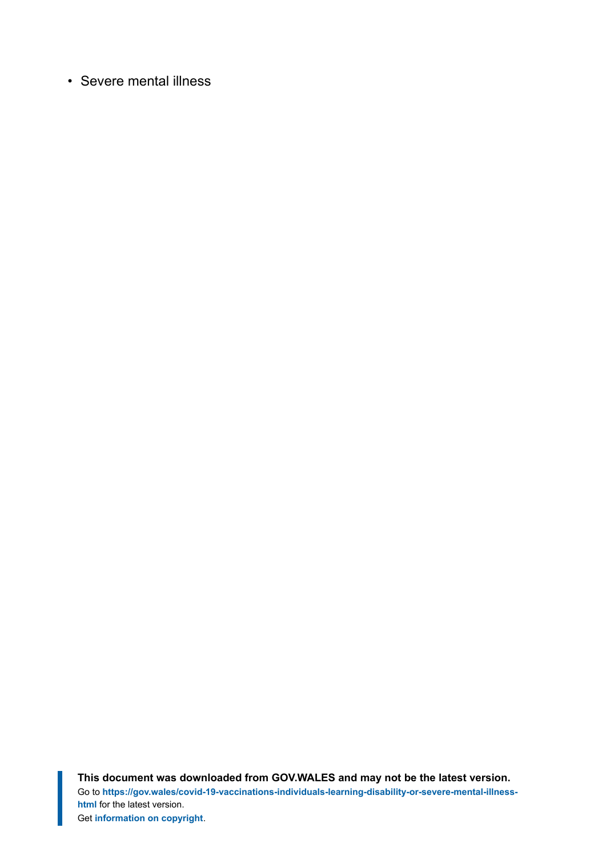• Severe mental illness